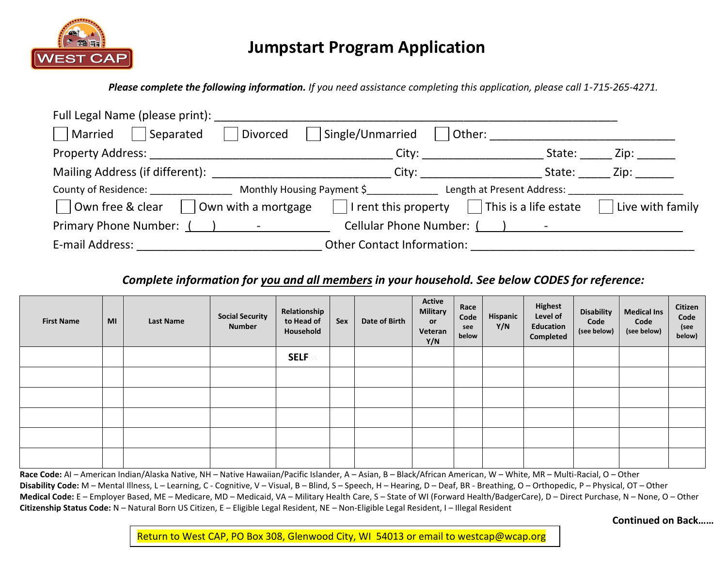

# **Jumpstart Program Application**

*Please complete the following information. If you need assistance completing this application, please call 1-715-265-4271.*

| Full Legal Name (please print): ___________                                                                                                                                                                                   |                                                                                                                                                                                                                                |        |                  |
|-------------------------------------------------------------------------------------------------------------------------------------------------------------------------------------------------------------------------------|--------------------------------------------------------------------------------------------------------------------------------------------------------------------------------------------------------------------------------|--------|------------------|
| Married<br>Separated<br>Divorced                                                                                                                                                                                              | Single/Unmarried<br>  Other:                                                                                                                                                                                                   |        |                  |
|                                                                                                                                                                                                                               | City: ________________                                                                                                                                                                                                         | State: | Zip: _______     |
| Mailing Address (if different): National Contract of the Mailing Address (if different):                                                                                                                                      | City: the contract of the contract of the contract of the contract of the contract of the contract of the contract of the contract of the contract of the contract of the contract of the contract of the contract of the cont | State: | Zip: will        |
| County of Residence: 1992 County of Residence: 1992 County of Residence: 1993 Monthly Housing Payment \$ 1999 Length at Present Address:                                                                                      |                                                                                                                                                                                                                                |        |                  |
| Own free & clear<br>Own with a mortgage                                                                                                                                                                                       | $\vert$   I rent this property $\vert$   This is a life estate                                                                                                                                                                 |        | Live with family |
| Primary Phone Number: () - The Figure 2 of the Second Second Second Second Second Second Second Second Second Second Second Second Second Second Second Second Second Second Second Second Second Second Second Second Second | Cellular Phone Number: () -                                                                                                                                                                                                    |        |                  |
| E-mail Address:                                                                                                                                                                                                               | <b>Other Contact Information:</b>                                                                                                                                                                                              |        |                  |

### *Complete information for you and all members in your household. See below CODES for reference:*

| <b>First Name</b> | MI | <b>Last Name</b> | <b>Social Security</b><br><b>Number</b> | Relationship<br>to Head of<br>Household | Sex | Date of Birth | <b>Active</b><br><b>Military</b><br><b>or</b><br>Veteran<br>Y/N | Race<br>Code<br>see<br>below | Hispanic<br>Y/N | <b>Highest</b><br>Level of<br>Education<br>Completed | <b>Disability</b><br>Code<br>(see below) | <b>Medical Ins</b><br>Code<br>(see below) | Citizen<br>Code<br>(see<br>below) |
|-------------------|----|------------------|-----------------------------------------|-----------------------------------------|-----|---------------|-----------------------------------------------------------------|------------------------------|-----------------|------------------------------------------------------|------------------------------------------|-------------------------------------------|-----------------------------------|
|                   |    |                  |                                         | <b>SELF</b>                             |     |               |                                                                 |                              |                 |                                                      |                                          |                                           |                                   |
|                   |    |                  |                                         |                                         |     |               |                                                                 |                              |                 |                                                      |                                          |                                           |                                   |
|                   |    |                  |                                         |                                         |     |               |                                                                 |                              |                 |                                                      |                                          |                                           |                                   |
|                   |    |                  |                                         |                                         |     |               |                                                                 |                              |                 |                                                      |                                          |                                           |                                   |
|                   |    |                  |                                         |                                         |     |               |                                                                 |                              |                 |                                                      |                                          |                                           |                                   |
|                   |    |                  |                                         |                                         |     |               |                                                                 |                              |                 |                                                      |                                          |                                           |                                   |

**Race Code:** AI – American Indian/Alaska Native, NH – Native Hawaiian/Pacific Islander, A – Asian, B – Black/African American, W – White, MR – Multi-Racial, O – Other **Disability Code:** M – Mental Illness, L – Learning, C - Cognitive, V – Visual, B – Blind, S – Speech, H – Hearing, D – Deaf, BR - Breathing, O – Orthopedic, P – Physical, OT – Other **Medical Code:** E – Employer Based, ME – Medicare, MD – Medicaid, VA – Military Health Care, S – State of WI (Forward Health/BadgerCare), D – Direct Purchase, N – None, O – Other **Citizenship Status Code:** N – Natural Born US Citizen, E – Eligible Legal Resident, NE – Non-Eligible Legal Resident, I – Illegal Resident

**Continued on Back……**

Return to West CAP, PO Box 308, Glenwood City, WI 54013 or email to westcap@wcap.org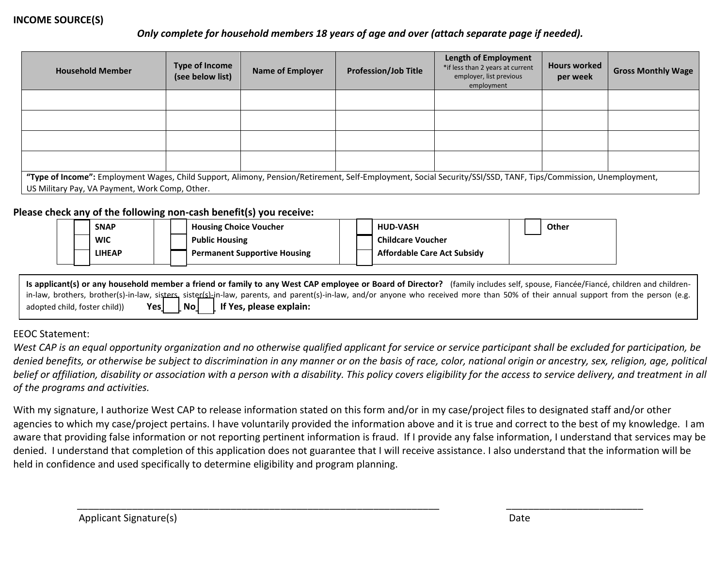### **INCOME SOURCE(S)**

### *Only complete for household members 18 years of age and over (attach separate page if needed).*

| <b>Household Member</b>                                                                                                                                                                                          | Type of Income<br>(see below list) | <b>Name of Employer</b> | <b>Profession/Job Title</b> | <b>Length of Employment</b><br>*if less than 2 years at current<br>employer, list previous<br>employment | <b>Hours worked</b><br>per week | <b>Gross Monthly Wage</b> |
|------------------------------------------------------------------------------------------------------------------------------------------------------------------------------------------------------------------|------------------------------------|-------------------------|-----------------------------|----------------------------------------------------------------------------------------------------------|---------------------------------|---------------------------|
|                                                                                                                                                                                                                  |                                    |                         |                             |                                                                                                          |                                 |                           |
|                                                                                                                                                                                                                  |                                    |                         |                             |                                                                                                          |                                 |                           |
|                                                                                                                                                                                                                  |                                    |                         |                             |                                                                                                          |                                 |                           |
|                                                                                                                                                                                                                  |                                    |                         |                             |                                                                                                          |                                 |                           |
| "Type of Income": Employment Wages, Child Support, Alimony, Pension/Retirement, Self-Employment, Social Security/SSI/SSD, TANF, Tips/Commission, Unemployment,<br>US Military Pay, VA Payment, Work Comp, Other. |                                    |                         |                             |                                                                                                          |                                 |                           |

#### **Please check any of the following non-cash benefit(s) you receive:**

| <b>SNAP</b>   | <b>Housing Choice Voucher</b>       |  | <b>HUD-VASH</b>                    |  | Other |
|---------------|-------------------------------------|--|------------------------------------|--|-------|
| <b>WIC</b>    | <b>Public Housing</b>               |  | <b>Childcare Voucher</b>           |  |       |
| <b>LIHEAP</b> | <b>Permanent Supportive Housing</b> |  | <b>Affordable Care Act Subsidy</b> |  |       |

**Is applicant(s) or any household member a friend or family to any West CAP employee or Board of Director?** (family includes self, spouse, Fiancée/Fiancé, children and childrenin-law, brothers, brother(s)-in-law, sisters, sister(s)-in-law, parents, and parent(s)-in-law, and/or anyone who received more than 50% of their annual support from the person (e.g. adopted child, foster child) **Yes** | **No** | **If Yes, please explain:** 

### EEOC Statement:

*West CAP is an equal opportunity organization and no otherwise qualified applicant for service or service participant shall be excluded for participation, be denied benefits, or otherwise be subject to discrimination in any manner or on the basis of race, color, national origin or ancestry, sex, religion, age, political belief or affiliation, disability or association with a person with a disability. This policy covers eligibility for the access to service delivery, and treatment in all of the programs and activities.*

With my signature, I authorize West CAP to release information stated on this form and/or in my case/project files to designated staff and/or other agencies to which my case/project pertains. I have voluntarily provided the information above and it is true and correct to the best of my knowledge. I am aware that providing false information or not reporting pertinent information is fraud. If I provide any false information, I understand that services may be denied. I understand that completion of this application does not guarantee that I will receive assistance. I also understand that the information will be held in confidence and used specifically to determine eligibility and program planning.

\_\_\_\_\_\_\_\_\_\_\_\_\_\_\_\_\_\_\_\_\_\_\_\_\_\_\_\_\_\_\_\_\_\_\_\_\_\_\_\_\_\_\_\_\_\_\_\_\_\_\_\_\_\_\_\_\_\_\_\_\_\_\_\_\_\_ \_\_\_\_\_\_\_\_\_\_\_\_\_\_\_\_\_\_\_\_\_\_\_\_\_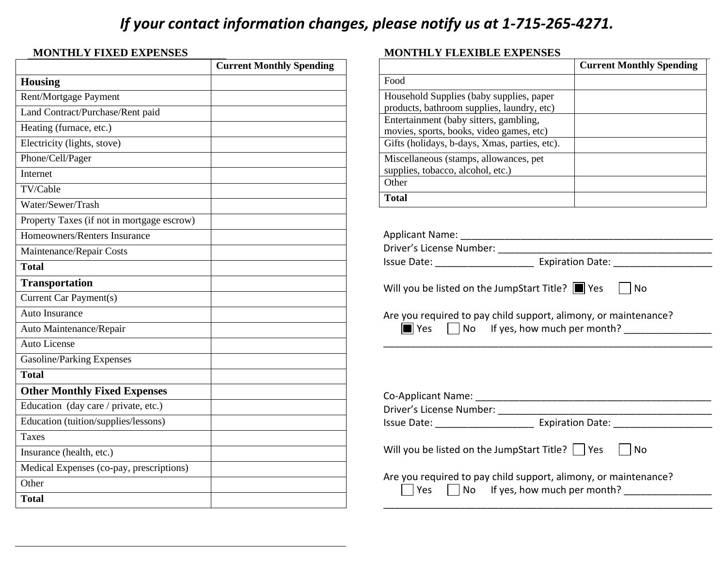# *If your contact information changes, please notify us at 1-715-265-4271.*

### **MONTHLY FIXED EXPENSES**

|                                            | <b>Current Monthly Spending</b> |
|--------------------------------------------|---------------------------------|
| <b>Housing</b>                             |                                 |
| Rent/Mortgage Payment                      |                                 |
| Land Contract/Purchase/Rent paid           |                                 |
| Heating (furnace, etc.)                    |                                 |
| Electricity (lights, stove)                |                                 |
| Phone/Cell/Pager                           |                                 |
| Internet                                   |                                 |
| TV/Cable                                   |                                 |
| Water/Sewer/Trash                          |                                 |
| Property Taxes (if not in mortgage escrow) |                                 |
| Homeowners/Renters Insurance               |                                 |
| Maintenance/Repair Costs                   |                                 |
| <b>Total</b>                               |                                 |
| <b>Transportation</b>                      |                                 |
| Current Car Payment(s)                     |                                 |
| Auto Insurance                             |                                 |
| Auto Maintenance/Repair                    |                                 |
| <b>Auto License</b>                        |                                 |
| Gasoline/Parking Expenses                  |                                 |
| <b>Total</b>                               |                                 |
| <b>Other Monthly Fixed Expenses</b>        |                                 |
| Education (day care / private, etc.)       |                                 |
| Education (tuition/supplies/lessons)       |                                 |
| <b>Taxes</b>                               |                                 |
| Insurance (health, etc.)                   |                                 |
| Medical Expenses (co-pay, prescriptions)   |                                 |
| Other                                      |                                 |
| <b>Total</b>                               |                                 |

#### **MONTHLY FLEXIBLE EXPENSES**

|                                                                                        | <b>Current Monthly Spending</b> |
|----------------------------------------------------------------------------------------|---------------------------------|
| Food                                                                                   |                                 |
| Household Supplies (baby supplies, paper<br>products, bathroom supplies, laundry, etc) |                                 |
| Entertainment (baby sitters, gambling,<br>movies, sports, books, video games, etc)     |                                 |
| Gifts (holidays, b-days, Xmas, parties, etc).                                          |                                 |
| Miscellaneous (stamps, allowances, pet<br>supplies, tobacco, alcohol, etc.)            |                                 |
| Other                                                                                  |                                 |
| <b>Total</b>                                                                           |                                 |

| <b>Applicant Name:</b>   |                         |  |
|--------------------------|-------------------------|--|
| Driver's License Number: |                         |  |
| Issue Date:              | <b>Expiration Date:</b> |  |

Will you be listed on the JumpStart Title?  $\Box$  Yes  $\Box$  No

Are you required to pay child support, alimony, or maintenance?



 $\boxed{\blacksquare}$  Yes  $\Box$  No  $\Box$  If yes, how much per month?  $\boxed{\phantom{1}}$ 

\_\_\_\_\_\_\_\_\_\_\_\_\_\_\_\_\_\_\_\_\_\_\_\_\_\_\_\_\_\_\_\_\_\_\_\_\_\_\_\_\_\_\_\_\_\_\_\_\_\_\_\_\_\_\_\_\_\_\_\_

| Co-Applicant Name:                                                                                                  |                         |
|---------------------------------------------------------------------------------------------------------------------|-------------------------|
| Driver's License Number:                                                                                            |                         |
|                                                                                                                     | <b>Expiration Date:</b> |
| Will you be listed on the JumpStart Title? $\Box$ Yes $\Box$ No                                                     |                         |
| Are you required to pay child support, alimony, or maintenance?<br>$\Box$ Yes $\Box$ No If yes, how much per month? |                         |